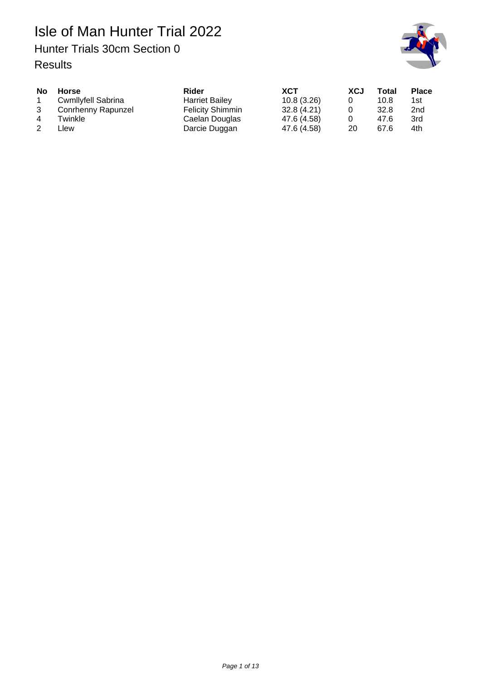## Isle of Man Hunter Trial 2022 Hunter Trials 30cm Section 0 Results



| <b>No</b>      | <b>Horse</b>              | Rider                   | <b>XCT</b>  | <b>XCJ</b> | Total | <b>Place</b>    |
|----------------|---------------------------|-------------------------|-------------|------------|-------|-----------------|
|                | <b>Cwmllyfell Sabrina</b> | <b>Harriet Bailey</b>   | 10.8(3.26)  |            | 10.8  | 1st             |
| 3              | Conrhenny Rapunzel        | <b>Felicity Shimmin</b> | 32.8(4.21)  |            | 32.8  | 2 <sub>nd</sub> |
| $\overline{4}$ | Twinkle                   | Caelan Douglas          | 47.6 (4.58) |            | 47.6  | 3rd             |
|                | _lew                      | Darcie Duggan           | 47.6 (4.58) | 20         | 67.6  | 4th             |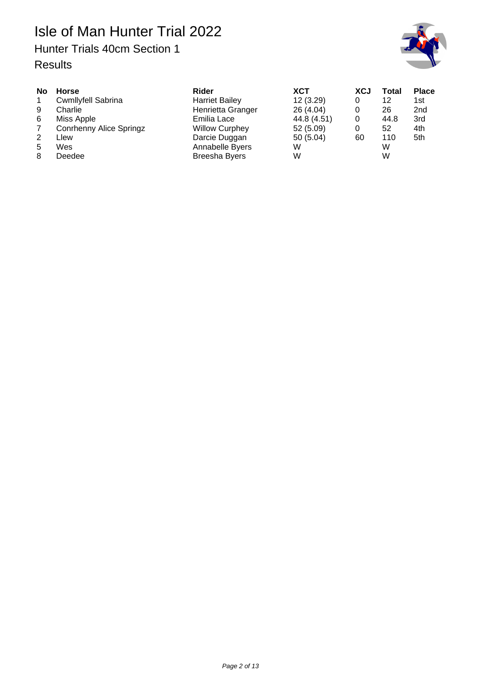## Hunter Trials 40cm Section 1



| <b>Horse</b><br><b>Cwmllyfell Sabrina</b><br>Charlie<br>Miss Apple<br><b>Conrhenny Alice Springz</b><br>-lew | Rider<br><b>Harriet Bailey</b><br>Henrietta Granger<br>Emilia Lace<br><b>Willow Curphey</b><br>Darcie Duggan | <b>XCT</b><br>12(3.29)<br>26 (4.04)<br>44.8 (4.51)<br>52 (5.09)<br>50(5.04) | XCJ<br>0<br>0<br>0<br>60 | Total<br>12<br>26<br>44.8<br>52<br>110 | <b>Place</b><br>1st<br>2 <sub>nd</sub><br>3rd<br>4th<br>5th |
|--------------------------------------------------------------------------------------------------------------|--------------------------------------------------------------------------------------------------------------|-----------------------------------------------------------------------------|--------------------------|----------------------------------------|-------------------------------------------------------------|
| Wes<br>Deedee                                                                                                | Annabelle Byers<br><b>Breesha Byers</b>                                                                      | W<br>W                                                                      |                          | W<br>W                                 |                                                             |
|                                                                                                              |                                                                                                              |                                                                             |                          |                                        |                                                             |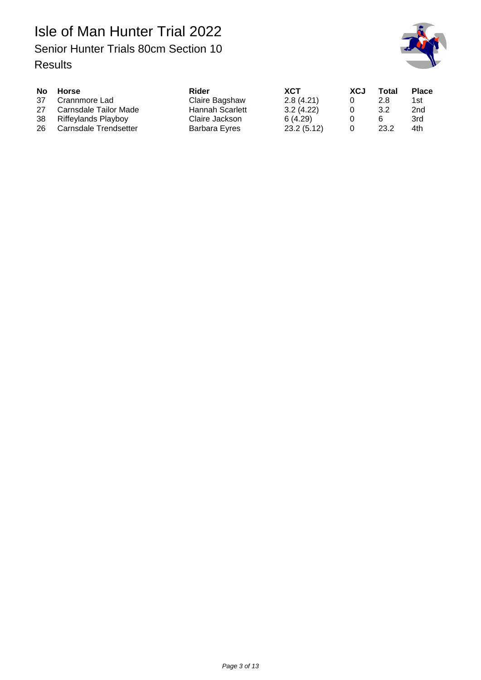

| <b>No</b> | Horse                  | Rider           | <b>XCT</b> | <b>XCJ</b> | Total | <b>Place</b> |
|-----------|------------------------|-----------------|------------|------------|-------|--------------|
| 37        | Crannmore Lad          | Claire Bagshaw  | 2.8(4.21)  |            | 2.8   | 1st.         |
| 27        | Carnsdale Tailor Made  | Hannah Scarlett | 3.2(4.22)  |            | 3.2   | 2nd          |
|           | 38 Riffeylands Playboy | Claire Jackson  | 6(4.29)    |            | 6     | 3rd          |
| 26        | Carnsdale Trendsetter  | Barbara Eyres   | 23.2(5.12) |            | 23.2  | 4th          |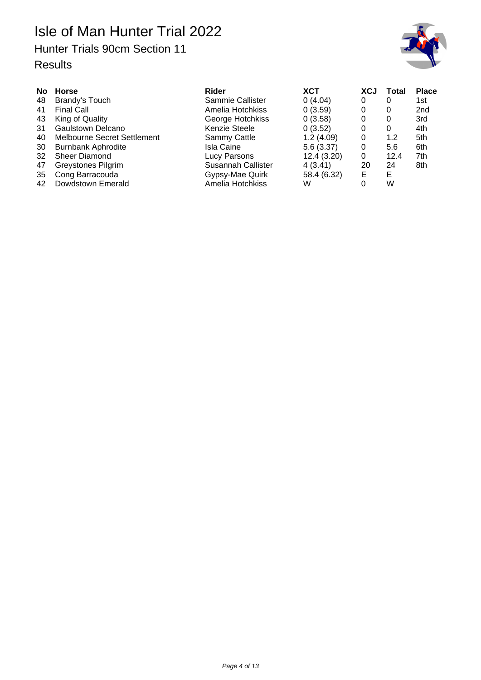## Hunter Trials 90cm Section 11



| <b>No</b> | <b>Horse</b>                       | Rider              | <b>XCT</b>  | <b>XCJ</b> | Total | <b>Place</b>    |
|-----------|------------------------------------|--------------------|-------------|------------|-------|-----------------|
| 48        | Brandy's Touch                     | Sammie Callister   | 0(4.04)     | 0          |       | 1st             |
| 41        | <b>Final Call</b>                  | Amelia Hotchkiss   | 0(3.59)     | 0          | 0     | 2 <sub>nd</sub> |
| 43        | King of Quality                    | George Hotchkiss   | 0(3.58)     | 0          | 0     | 3rd             |
| 31        | Gaulstown Delcano                  | Kenzie Steele      | 0(3.52)     | 0          | 0     | 4th             |
| 40        | <b>Melbourne Secret Settlement</b> | Sammy Cattle       | 1.2(4.09)   | 0          | 1.2   | 5th             |
| 30        | <b>Burnbank Aphrodite</b>          | <b>Isla Caine</b>  | 5.6(3.37)   | 0          | 5.6   | 6th             |
| 32        | <b>Sheer Diamond</b>               | Lucy Parsons       | 12.4(3.20)  | 0          | 12.4  | 7th             |
| 47        | <b>Greystones Pilgrim</b>          | Susannah Callister | 4(3.41)     | 20         | 24    | 8th             |
| 35        | Cong Barracouda                    | Gypsy-Mae Quirk    | 58.4 (6.32) | Е          | Е     |                 |
| 42        | Dowdstown Emerald                  | Amelia Hotchkiss   | W           |            | W     |                 |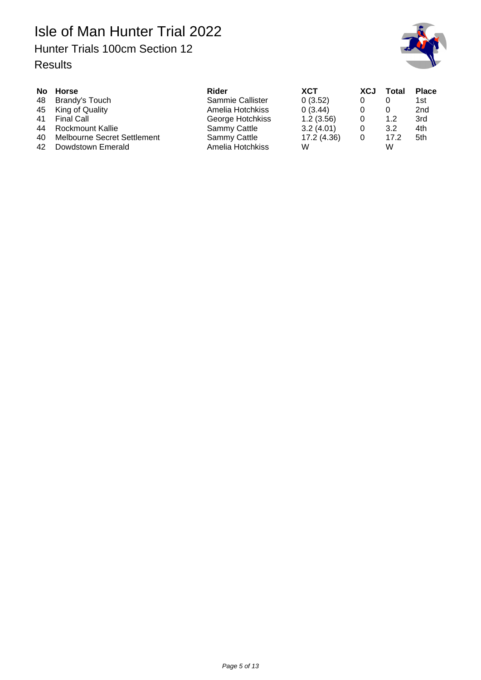## Hunter Trials 100cm Section 12



| 41       | No Horse<br>48 Brandy's Touch<br>45 King of Quality<br>Final Call | Rider<br>Sammie Callister<br>Amelia Hotchkiss<br>George Hotchkiss | <b>XCT</b><br>0(3.52)<br>0(3.44)<br>1.2(3.56) | <b>XCJ</b><br>0 | Total<br>1.2 | <b>Place</b><br>1st<br>2nd<br>3rd |
|----------|-------------------------------------------------------------------|-------------------------------------------------------------------|-----------------------------------------------|-----------------|--------------|-----------------------------------|
| 44       | Rockmount Kallie                                                  | Sammy Cattle                                                      | 3.2(4.01)                                     | 0               | 3.2          | 4th                               |
| 40<br>42 | Melbourne Secret Settlement<br>Dowdstown Emerald                  | Sammy Cattle<br>Amelia Hotchkiss                                  | 17.2 (4.36)<br>W                              | 0               | 17.2<br>W    | 5th                               |
|          |                                                                   |                                                                   |                                               |                 |              |                                   |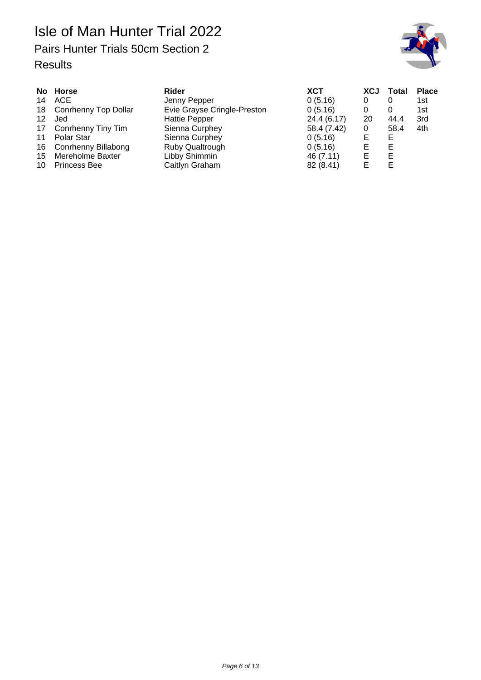# Pairs Hunter Trials 50cm Section 2



| 14<br>12<br>17<br>11<br>16<br>15 | No Horse<br>ACE<br>18 Conrhenny Top Dollar<br>Jed<br>Conrhenny Tiny Tim<br>Polar Star<br><b>Conrhenny Billabong</b><br>Mereholme Baxter | Rider<br>Jenny Pepper<br>Evie Grayse Cringle-Preston<br><b>Hattie Pepper</b><br>Sienna Curphey<br>Sienna Curphey<br>Ruby Qualtrough<br>Libby Shimmin | XCT<br>0(5.16)<br>0(5.16)<br>24.4 (6.17)<br>58.4 (7.42)<br>0(5.16)<br>0(5.16)<br>46 (7.11) | <b>XCJ</b><br>0<br>0<br>20<br>0<br>Е<br>Е<br>Е | Total<br>0<br>0<br>44.4<br>58.4<br>Е<br>Е<br>Е | <b>Place</b><br>1st<br>1st<br>3rd<br>4th |
|----------------------------------|-----------------------------------------------------------------------------------------------------------------------------------------|------------------------------------------------------------------------------------------------------------------------------------------------------|--------------------------------------------------------------------------------------------|------------------------------------------------|------------------------------------------------|------------------------------------------|
| 10                               | <b>Princess Bee</b>                                                                                                                     | Caitlyn Graham                                                                                                                                       | 82 (8.41)                                                                                  | F                                              | Е                                              |                                          |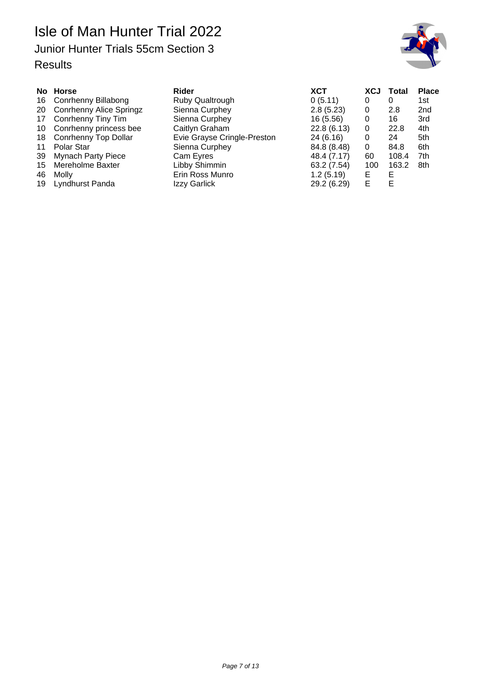Isle of Man Hunter Trial 2022 Junior Hunter Trials 55cm Section 3



|    | No Horse                       | Rider                       | <b>XCT</b>  | <b>XCJ</b> | Total | <b>Place</b>    |
|----|--------------------------------|-----------------------------|-------------|------------|-------|-----------------|
| 16 | <b>Conrhenny Billabong</b>     | Ruby Qualtrough             | 0(5.11)     | 0          | 0     | 1st             |
| 20 | <b>Conrhenny Alice Springz</b> | Sienna Curphey              | 2.8(5.23)   | 0          | 2.8   | 2 <sub>nd</sub> |
| 17 | Conrhenny Tiny Tim             | Sienna Curphey              | 16 (5.56)   | 0          | 16    | 3rd             |
| 10 | Conrhenny princess bee         | Caitlyn Graham              | 22.8(6.13)  | 0          | 22.8  | 4th             |
| 18 | <b>Conrhenny Top Dollar</b>    | Evie Grayse Cringle-Preston | 24 (6.16)   | 0          | 24    | 5th             |
| 11 | Polar Star                     | Sienna Curphey              | 84.8 (8.48) | 0          | 84.8  | 6th             |
| 39 | <b>Mynach Party Piece</b>      | Cam Eyres                   | 48.4 (7.17) | 60         | 108.4 | 7th             |
| 15 | Mereholme Baxter               | Libby Shimmin               | 63.2 (7.54) | 100        | 163.2 | 8th             |
| 46 | Molly                          | Erin Ross Munro             | 1.2(5.19)   | Е          | E     |                 |
| 19 | Lyndhurst Panda                | Izzy Garlick                | 29.2 (6.29) |            | E     |                 |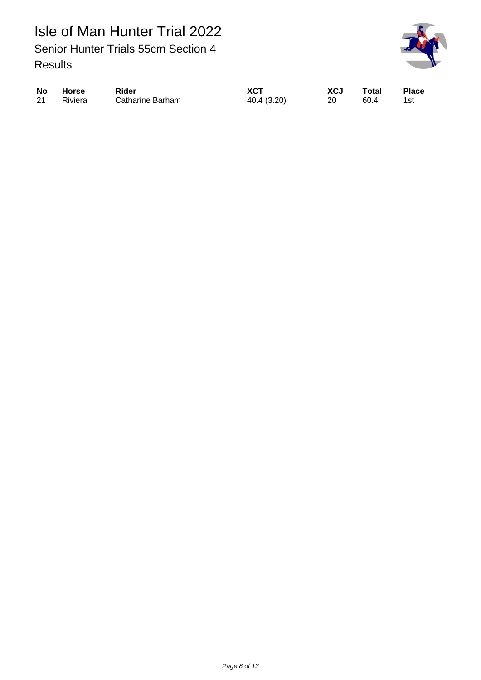Isle of Man Hunter Trial 2022 Senior Hunter Trials 55cm Section 4 Results



|    | No Horse | <b>Rider</b>            | <b>XCT</b>  | XCJ | Total | <b>Place</b> |
|----|----------|-------------------------|-------------|-----|-------|--------------|
| 21 | Riviera  | <b>Catharine Barham</b> | 40.4 (3.20) | -20 | 60.4  | - 1st        |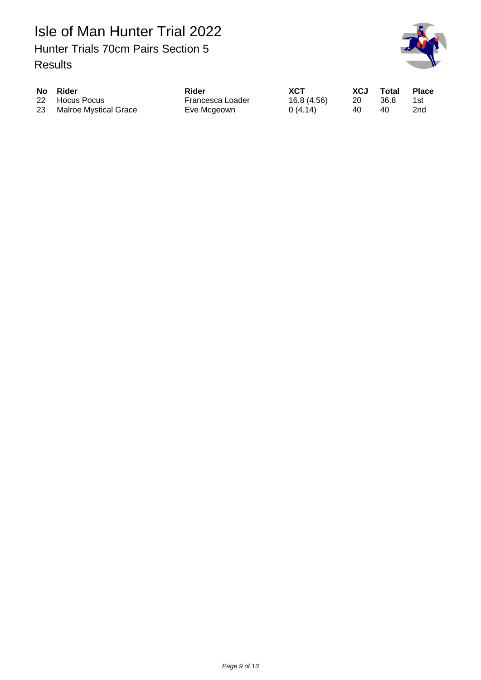Isle of Man Hunter Trial 2022 Hunter Trials 70cm Pairs Section 5 Results



| No Rider                 | Rider            | <b>XCT</b>  | XCJ | Total | <b>Place</b> |
|--------------------------|------------------|-------------|-----|-------|--------------|
| 22 Hocus Pocus           | Francesca Loader | 16.8 (4.56) | 20  | 36.8  | 1st          |
| 23 Malroe Mystical Grace | Eve Mcgeown      | 0(4.14)     | 40  | 40    | 2nd          |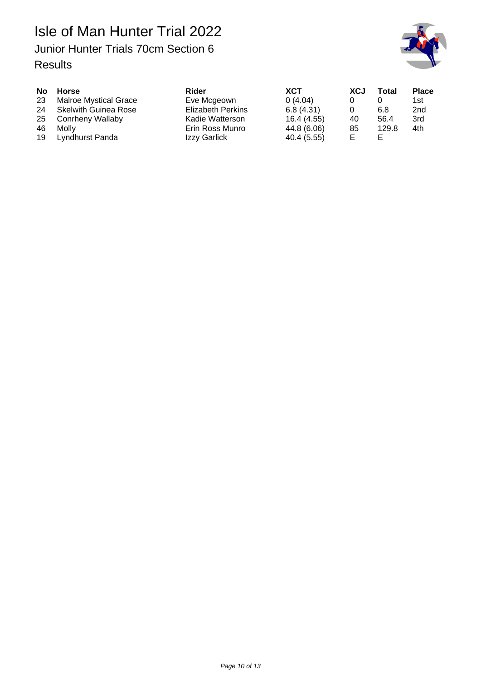

| <b>No</b><br>23 | Horse<br><b>Malroe Mystical Grace</b><br>24 Skelwith Guinea Rose | Rider<br>Eve Mcgeown<br><b>Elizabeth Perkins</b>   | <b>XCT</b><br>0(4.04)<br>6.8(4.31)        | XCJ      | Total<br>6.8  | <b>Place</b><br>1st.<br>2nd |
|-----------------|------------------------------------------------------------------|----------------------------------------------------|-------------------------------------------|----------|---------------|-----------------------------|
| 25<br>46<br>19  | Conrheny Wallaby<br>Molly<br>Lyndhurst Panda                     | Kadie Watterson<br>Erin Ross Munro<br>Izzy Garlick | 16.4 (4.55)<br>44.8 (6.06)<br>40.4 (5.55) | 40<br>85 | 56.4<br>129.8 | 3rd<br>4th                  |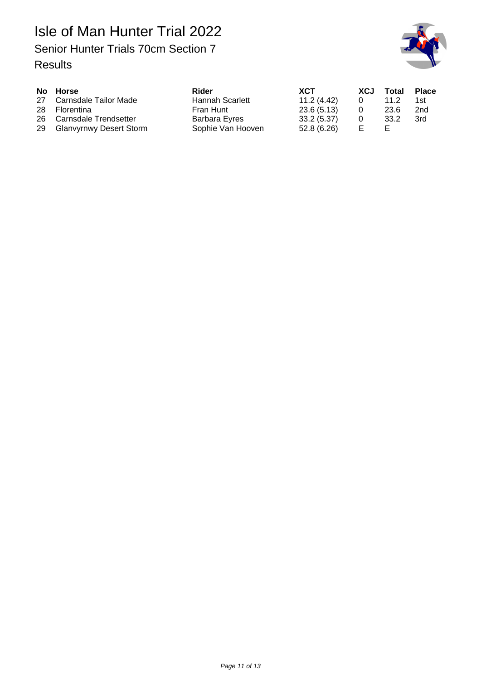

| No Horse                   | Rider                  | <b>XCT</b>  | XCJ | Total | <b>Place</b> |
|----------------------------|------------------------|-------------|-----|-------|--------------|
| 27 Carnsdale Tailor Made   | <b>Hannah Scarlett</b> | 11.2(4.42)  | 0   | 11.2  | 1st          |
| 28 Florentina              | Fran Hunt              | 23.6(5.13)  | 0   | 23.6  | 2nd          |
| 26 Carnsdale Trendsetter   | Barbara Eyres          | 33.2(5.37)  | 0   | 33.2  | 3rd          |
| 29 Glanvyrnwy Desert Storm | Sophie Van Hooven      | 52.8 (6.26) | Е   | E.    |              |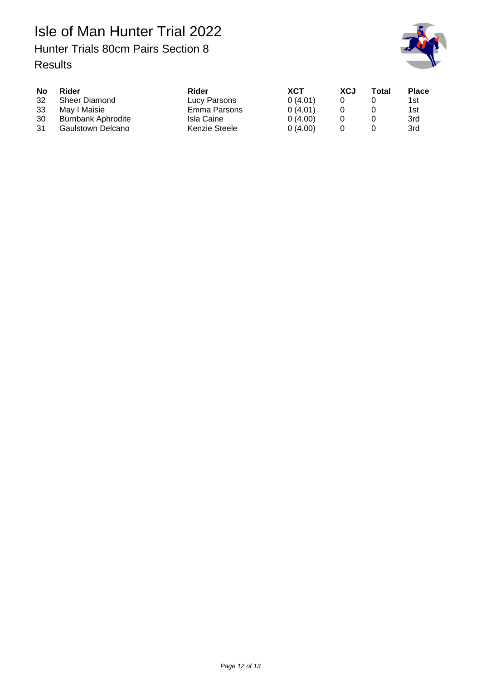Isle of Man Hunter Trial 2022 Hunter Trials 80cm Pairs Section 8 Results



| <b>No</b> | Rider                | Rider         | XCT     | <b>XCJ</b> | Total | <b>Place</b> |
|-----------|----------------------|---------------|---------|------------|-------|--------------|
| 32        | <b>Sheer Diamond</b> | Lucy Parsons  | 0(4.01) |            |       | 1st l        |
| -33       | May I Maisie         | Emma Parsons  | 0(4.01) |            |       | 1st          |
| 30        | Burnbank Aphrodite   | Isla Caine    | 0(4.00) |            |       | 3rd          |
| -31       | Gaulstown Delcano    | Kenzie Steele | 0(4.00) |            |       | 3rd          |